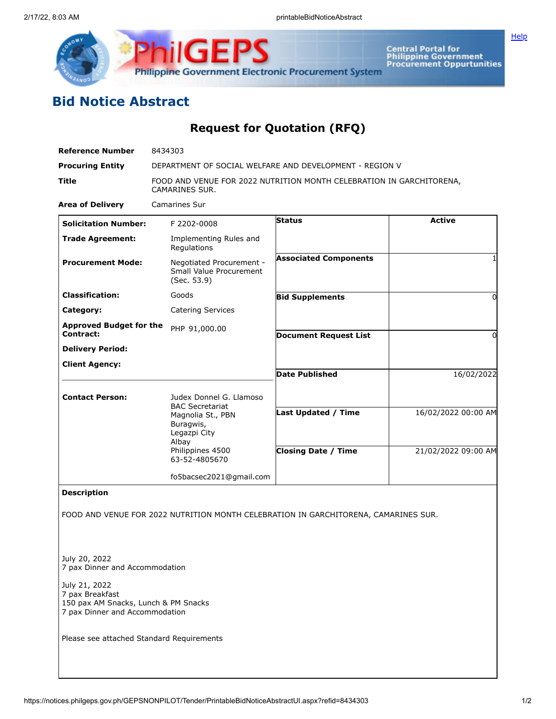

Central Portal for<br>Philippine Government<br>Procurement Oppurtunities

## **Bid Notice Abstract**

**Request for Quotation (RFQ)**

| <b>Reference Number</b>                                                                                                                                       | 8434303                                                                                |                                                                                     |                     |
|---------------------------------------------------------------------------------------------------------------------------------------------------------------|----------------------------------------------------------------------------------------|-------------------------------------------------------------------------------------|---------------------|
| <b>Procuring Entity</b>                                                                                                                                       | DEPARTMENT OF SOCIAL WELFARE AND DEVELOPMENT - REGION V                                |                                                                                     |                     |
| <b>Title</b>                                                                                                                                                  | FOOD AND VENUE FOR 2022 NUTRITION MONTH CELEBRATION IN GARCHITORENA,<br>CAMARINES SUR. |                                                                                     |                     |
| <b>Area of Delivery</b>                                                                                                                                       | <b>Camarines Sur</b>                                                                   |                                                                                     |                     |
| <b>Solicitation Number:</b>                                                                                                                                   | F 2202-0008                                                                            | <b>Status</b>                                                                       | <b>Active</b>       |
| <b>Trade Agreement:</b>                                                                                                                                       | Implementing Rules and<br>Regulations                                                  |                                                                                     |                     |
| <b>Procurement Mode:</b>                                                                                                                                      | Negotiated Procurement -<br>Small Value Procurement<br>(Sec. 53.9)                     | <b>Associated Components</b>                                                        |                     |
| <b>Classification:</b>                                                                                                                                        | Goods                                                                                  | <b>Bid Supplements</b>                                                              | 0                   |
| Category:                                                                                                                                                     | <b>Catering Services</b>                                                               |                                                                                     |                     |
| <b>Approved Budget for the</b><br><b>Contract:</b>                                                                                                            | PHP 91,000.00                                                                          | <b>Document Request List</b>                                                        | 0                   |
| <b>Delivery Period:</b>                                                                                                                                       |                                                                                        |                                                                                     |                     |
| <b>Client Agency:</b>                                                                                                                                         |                                                                                        |                                                                                     |                     |
|                                                                                                                                                               |                                                                                        | <b>Date Published</b>                                                               | 16/02/2022          |
| <b>Contact Person:</b>                                                                                                                                        | Judex Donnel G. Llamoso<br><b>BAC Secretariat</b>                                      |                                                                                     |                     |
|                                                                                                                                                               | Magnolia St., PBN<br>Buragwis,<br>Legazpi City<br>Albay                                | Last Updated / Time                                                                 | 16/02/2022 00:00 AM |
|                                                                                                                                                               | Philippines 4500<br>63-52-4805670                                                      | <b>Closing Date / Time</b>                                                          | 21/02/2022 09:00 AM |
|                                                                                                                                                               | fo5bacsec2021@gmail.com                                                                |                                                                                     |                     |
| <b>Description</b>                                                                                                                                            |                                                                                        |                                                                                     |                     |
|                                                                                                                                                               |                                                                                        | FOOD AND VENUE FOR 2022 NUTRITION MONTH CELEBRATION IN GARCHITORENA, CAMARINES SUR. |                     |
| July 20, 2022<br>7 pax Dinner and Accommodation<br>July 21, 2022<br>7 pax Breakfast<br>150 pax AM Snacks, Lunch & PM Snacks<br>7 pax Dinner and Accommodation |                                                                                        |                                                                                     |                     |
| Please see attached Standard Requirements                                                                                                                     |                                                                                        |                                                                                     |                     |